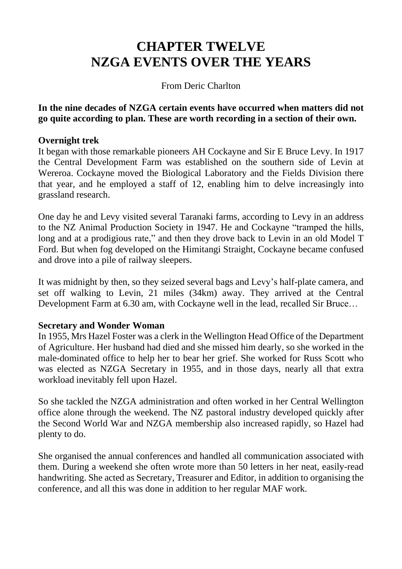# **CHAPTER TWELVE NZGA EVENTS OVER THE YEARS**

#### From Deric Charlton

**In the nine decades of NZGA certain events have occurred when matters did not go quite according to plan. These are worth recording in a section of their own.**

#### **Overnight trek**

It began with those remarkable pioneers AH Cockayne and Sir E Bruce Levy. In 1917 the Central Development Farm was established on the southern side of Levin at Wereroa. Cockayne moved the Biological Laboratory and the Fields Division there that year, and he employed a staff of 12, enabling him to delve increasingly into grassland research.

One day he and Levy visited several Taranaki farms, according to Levy in an address to the NZ Animal Production Society in 1947. He and Cockayne "tramped the hills, long and at a prodigious rate," and then they drove back to Levin in an old Model T Ford. But when fog developed on the Himitangi Straight, Cockayne became confused and drove into a pile of railway sleepers.

It was midnight by then, so they seized several bags and Levy's half-plate camera, and set off walking to Levin, 21 miles (34km) away. They arrived at the Central Development Farm at 6.30 am, with Cockayne well in the lead, recalled Sir Bruce…

#### **Secretary and Wonder Woman**

In 1955, Mrs Hazel Foster was a clerk in the Wellington Head Office of the Department of Agriculture. Her husband had died and she missed him dearly, so she worked in the male-dominated office to help her to bear her grief. She worked for Russ Scott who was elected as NZGA Secretary in 1955, and in those days, nearly all that extra workload inevitably fell upon Hazel.

So she tackled the NZGA administration and often worked in her Central Wellington office alone through the weekend. The NZ pastoral industry developed quickly after the Second World War and NZGA membership also increased rapidly, so Hazel had plenty to do.

She organised the annual conferences and handled all communication associated with them. During a weekend she often wrote more than 50 letters in her neat, easily-read handwriting. She acted as Secretary, Treasurer and Editor, in addition to organising the conference, and all this was done in addition to her regular MAF work.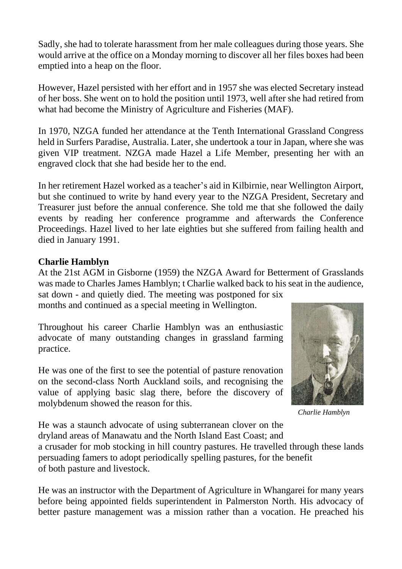Sadly, she had to tolerate harassment from her male colleagues during those years. She would arrive at the office on a Monday morning to discover all her files boxes had been emptied into a heap on the floor.

However, Hazel persisted with her effort and in 1957 she was elected Secretary instead of her boss. She went on to hold the position until 1973, well after she had retired from what had become the Ministry of Agriculture and Fisheries (MAF).

In 1970, NZGA funded her attendance at the Tenth International Grassland Congress held in Surfers Paradise, Australia. Later, she undertook a tour in Japan, where she was given VIP treatment. NZGA made Hazel a Life Member, presenting her with an engraved clock that she had beside her to the end.

In her retirement Hazel worked as a teacher's aid in Kilbirnie, near Wellington Airport, but she continued to write by hand every year to the NZGA President, Secretary and Treasurer just before the annual conference. She told me that she followed the daily events by reading her conference programme and afterwards the Conference Proceedings. Hazel lived to her late eighties but she suffered from failing health and died in January 1991.

# **Charlie Hamblyn**

At the 21st AGM in Gisborne (1959) the NZGA Award for Betterment of Grasslands was made to Charles James Hamblyn; t Charlie walked back to his seat in the audience, sat down - and quietly died. The meeting was postponed for six

months and continued as a special meeting in Wellington.

Throughout his career Charlie Hamblyn was an enthusiastic advocate of many outstanding changes in grassland farming practice.

He was one of the first to see the potential of pasture renovation on the second-class North Auckland soils, and recognising the value of applying basic slag there, before the discovery of molybdenum showed the reason for this.



*Charlie Hamblyn*

He was a staunch advocate of using subterranean clover on the dryland areas of Manawatu and the North Island East Coast; and

a crusader for mob stocking in hill country pastures. He travelled through these lands persuading famers to adopt periodically spelling pastures, for the benefit of both pasture and livestock.

He was an instructor with the Department of Agriculture in Whangarei for many years before being appointed fields superintendent in Palmerston North. His advocacy of better pasture management was a mission rather than a vocation. He preached his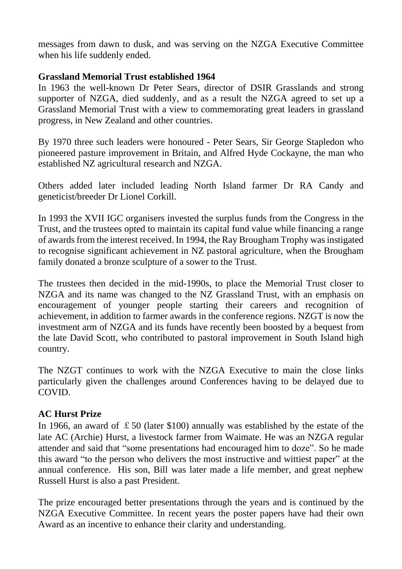messages from dawn to dusk, and was serving on the NZGA Executive Committee when his life suddenly ended.

#### **Grassland Memorial Trust established 1964**

In 1963 the well-known Dr Peter Sears, director of DSIR Grasslands and strong supporter of NZGA, died suddenly, and as a result the NZGA agreed to set up a Grassland Memorial Trust with a view to commemorating great leaders in grassland progress, in New Zealand and other countries.

By 1970 three such leaders were honoured - Peter Sears, Sir George Stapledon who pioneered pasture improvement in Britain, and Alfred Hyde Cockayne, the man who established NZ agricultural research and NZGA.

Others added later included leading North Island farmer Dr RA Candy and geneticist/breeder Dr Lionel Corkill.

In 1993 the XVII IGC organisers invested the surplus funds from the Congress in the Trust, and the trustees opted to maintain its capital fund value while financing a range of awards from the interest received. In 1994, the Ray Brougham Trophy was instigated to recognise significant achievement in NZ pastoral agriculture, when the Brougham family donated a bronze sculpture of a sower to the Trust.

The trustees then decided in the mid-1990s, to place the Memorial Trust closer to NZGA and its name was changed to the NZ Grassland Trust, with an emphasis on encouragement of younger people starting their careers and recognition of achievement, in addition to farmer awards in the conference regions. NZGT is now the investment arm of NZGA and its funds have recently been boosted by a bequest from the late David Scott, who contributed to pastoral improvement in South Island high country.

The NZGT continues to work with the NZGA Executive to main the close links particularly given the challenges around Conferences having to be delayed due to COVID.

# **AC Hurst Prize**

In 1966, an award of  $\text{\pounds}50$  (later \$100) annually was established by the estate of the late AC (Archie) Hurst, a livestock farmer from Waimate. He was an NZGA regular attender and said that "some presentations had encouraged him to doze". So he made this award "to the person who delivers the most instructive and wittiest paper" at the annual conference. His son, Bill was later made a life member, and great nephew Russell Hurst is also a past President.

The prize encouraged better presentations through the years and is continued by the NZGA Executive Committee. In recent years the poster papers have had their own Award as an incentive to enhance their clarity and understanding.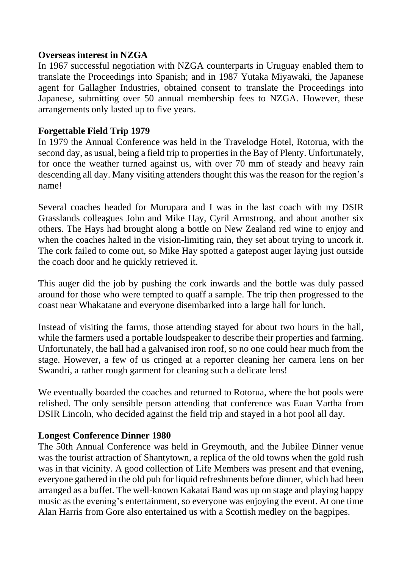#### **Overseas interest in NZGA**

In 1967 successful negotiation with NZGA counterparts in Uruguay enabled them to translate the Proceedings into Spanish; and in 1987 Yutaka Miyawaki, the Japanese agent for Gallagher Industries, obtained consent to translate the Proceedings into Japanese, submitting over 50 annual membership fees to NZGA. However, these arrangements only lasted up to five years.

#### **Forgettable Field Trip 1979**

In 1979 the Annual Conference was held in the Travelodge Hotel, Rotorua, with the second day, as usual, being a field trip to properties in the Bay of Plenty. Unfortunately, for once the weather turned against us, with over 70 mm of steady and heavy rain descending all day. Many visiting attenders thought this was the reason for the region's name!

Several coaches headed for Murupara and I was in the last coach with my DSIR Grasslands colleagues John and Mike Hay, Cyril Armstrong, and about another six others. The Hays had brought along a bottle on New Zealand red wine to enjoy and when the coaches halted in the vision-limiting rain, they set about trying to uncork it. The cork failed to come out, so Mike Hay spotted a gatepost auger laying just outside the coach door and he quickly retrieved it.

This auger did the job by pushing the cork inwards and the bottle was duly passed around for those who were tempted to quaff a sample. The trip then progressed to the coast near Whakatane and everyone disembarked into a large hall for lunch.

Instead of visiting the farms, those attending stayed for about two hours in the hall, while the farmers used a portable loudspeaker to describe their properties and farming. Unfortunately, the hall had a galvanised iron roof, so no one could hear much from the stage. However, a few of us cringed at a reporter cleaning her camera lens on her Swandri, a rather rough garment for cleaning such a delicate lens!

We eventually boarded the coaches and returned to Rotorua, where the hot pools were relished. The only sensible person attending that conference was Euan Vartha from DSIR Lincoln, who decided against the field trip and stayed in a hot pool all day.

#### **Longest Conference Dinner 1980**

The 50th Annual Conference was held in Greymouth, and the Jubilee Dinner venue was the tourist attraction of Shantytown, a replica of the old towns when the gold rush was in that vicinity. A good collection of Life Members was present and that evening, everyone gathered in the old pub for liquid refreshments before dinner, which had been arranged as a buffet. The well-known Kakatai Band was up on stage and playing happy music as the evening's entertainment, so everyone was enjoying the event. At one time Alan Harris from Gore also entertained us with a Scottish medley on the bagpipes.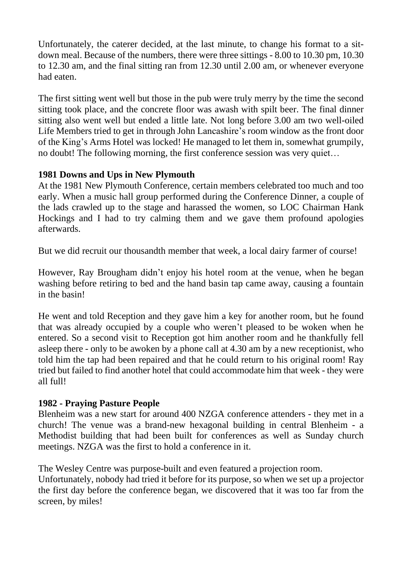Unfortunately, the caterer decided, at the last minute, to change his format to a sitdown meal. Because of the numbers, there were three sittings - 8.00 to 10.30 pm, 10.30 to 12.30 am, and the final sitting ran from 12.30 until 2.00 am, or whenever everyone had eaten.

The first sitting went well but those in the pub were truly merry by the time the second sitting took place, and the concrete floor was awash with spilt beer. The final dinner sitting also went well but ended a little late. Not long before 3.00 am two well-oiled Life Members tried to get in through John Lancashire's room window as the front door of the King's Arms Hotel was locked! He managed to let them in, somewhat grumpily, no doubt! The following morning, the first conference session was very quiet…

# **1981 Downs and Ups in New Plymouth**

At the 1981 New Plymouth Conference, certain members celebrated too much and too early. When a music hall group performed during the Conference Dinner, a couple of the lads crawled up to the stage and harassed the women, so LOC Chairman Hank Hockings and I had to try calming them and we gave them profound apologies afterwards.

But we did recruit our thousandth member that week, a local dairy farmer of course!

However, Ray Brougham didn't enjoy his hotel room at the venue, when he began washing before retiring to bed and the hand basin tap came away, causing a fountain in the basin!

He went and told Reception and they gave him a key for another room, but he found that was already occupied by a couple who weren't pleased to be woken when he entered. So a second visit to Reception got him another room and he thankfully fell asleep there - only to be awoken by a phone call at 4.30 am by a new receptionist, who told him the tap had been repaired and that he could return to his original room! Ray tried but failed to find another hotel that could accommodate him that week - they were all full!

# **1982 - Praying Pasture People**

Blenheim was a new start for around 400 NZGA conference attenders - they met in a church! The venue was a brand-new hexagonal building in central Blenheim - a Methodist building that had been built for conferences as well as Sunday church meetings. NZGA was the first to hold a conference in it.

The Wesley Centre was purpose-built and even featured a projection room. Unfortunately, nobody had tried it before for its purpose, so when we set up a projector the first day before the conference began, we discovered that it was too far from the screen, by miles!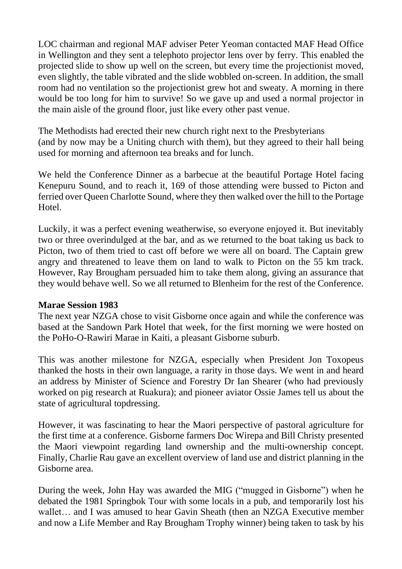LOC chairman and regional MAF adviser Peter Yeoman contacted MAF Head Office in Wellington and they sent a telephoto projector lens over by ferry. This enabled the projected slide to show up well on the screen, but every time the projectionist moved, even slightly, the table vibrated and the slide wobbled on-screen. In addition, the small room had no ventilation so the projectionist grew hot and sweaty. A morning in there would be too long for him to survive! So we gave up and used a normal projector in the main aisle of the ground floor, just like every other past venue.

The Methodists had erected their new church right next to the Presbyterians (and by now may be a Uniting church with them), but they agreed to their hall being used for morning and afternoon tea breaks and for lunch.

We held the Conference Dinner as a barbecue at the beautiful Portage Hotel facing Kenepuru Sound, and to reach it, 169 of those attending were bussed to Picton and ferried over Queen Charlotte Sound, where they then walked over the hill to the Portage Hotel.

Luckily, it was a perfect evening weatherwise, so everyone enjoyed it. But inevitably two or three overindulged at the bar, and as we returned to the boat taking us back to Picton, two of them tried to cast off before we were all on board. The Captain grew angry and threatened to leave them on land to walk to Picton on the 55 km track. However, Ray Brougham persuaded him to take them along, giving an assurance that they would behave well. So we all returned to Blenheim for the rest of the Conference.

#### **Marae Session 1983**

The next year NZGA chose to visit Gisborne once again and while the conference was based at the Sandown Park Hotel that week, for the first morning we were hosted on the PoHo-O-Rawiri Marae in Kaiti, a pleasant Gisborne suburb.

This was another milestone for NZGA, especially when President Jon Toxopeus thanked the hosts in their own language, a rarity in those days. We went in and heard an address by Minister of Science and Forestry Dr Ian Shearer (who had previously worked on pig research at Ruakura); and pioneer aviator Ossie James tell us about the state of agricultural topdressing.

However, it was fascinating to hear the Maori perspective of pastoral agriculture for the first time at a conference. Gisborne farmers Doc Wirepa and Bill Christy presented the Maori viewpoint regarding land ownership and the multi-ownership concept. Finally, Charlie Rau gave an excellent overview of land use and district planning in the Gisborne area.

During the week, John Hay was awarded the MIG ("mugged in Gisborne") when he debated the 1981 Springbok Tour with some locals in a pub, and temporarily lost his wallet… and I was amused to hear Gavin Sheath (then an NZGA Executive member and now a Life Member and Ray Brougham Trophy winner) being taken to task by his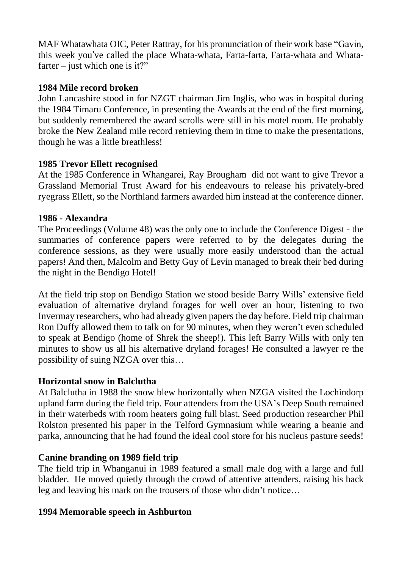MAF Whatawhata OIC, Peter Rattray, for his pronunciation of their work base "Gavin, this week you've called the place Whata-whata, Farta-farta, Farta-whata and Whatafarter – just which one is it?"

# **1984 Mile record broken**

John Lancashire stood in for NZGT chairman Jim Inglis, who was in hospital during the 1984 Timaru Conference, in presenting the Awards at the end of the first morning, but suddenly remembered the award scrolls were still in his motel room. He probably broke the New Zealand mile record retrieving them in time to make the presentations, though he was a little breathless!

# **1985 Trevor Ellett recognised**

At the 1985 Conference in Whangarei, Ray Brougham did not want to give Trevor a Grassland Memorial Trust Award for his endeavours to release his privately-bred ryegrass Ellett, so the Northland farmers awarded him instead at the conference dinner.

# **1986 - Alexandra**

The Proceedings (Volume 48) was the only one to include the Conference Digest - the summaries of conference papers were referred to by the delegates during the conference sessions, as they were usually more easily understood than the actual papers! And then, Malcolm and Betty Guy of Levin managed to break their bed during the night in the Bendigo Hotel!

At the field trip stop on Bendigo Station we stood beside Barry Wills' extensive field evaluation of alternative dryland forages for well over an hour, listening to two Invermay researchers, who had already given papersthe day before. Field trip chairman Ron Duffy allowed them to talk on for 90 minutes, when they weren't even scheduled to speak at Bendigo (home of Shrek the sheep!). This left Barry Wills with only ten minutes to show us all his alternative dryland forages! He consulted a lawyer re the possibility of suing NZGA over this…

# **Horizontal snow in Balclutha**

At Balclutha in 1988 the snow blew horizontally when NZGA visited the Lochindorp upland farm during the field trip. Four attenders from the USA's Deep South remained in their waterbeds with room heaters going full blast. Seed production researcher Phil Rolston presented his paper in the Telford Gymnasium while wearing a beanie and parka, announcing that he had found the ideal cool store for his nucleus pasture seeds!

# **Canine branding on 1989 field trip**

The field trip in Whanganui in 1989 featured a small male dog with a large and full bladder. He moved quietly through the crowd of attentive attenders, raising his back leg and leaving his mark on the trousers of those who didn't notice…

# **1994 Memorable speech in Ashburton**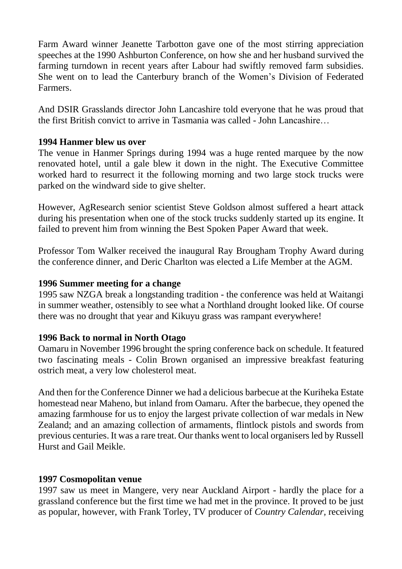Farm Award winner Jeanette Tarbotton gave one of the most stirring appreciation speeches at the 1990 Ashburton Conference, on how she and her husband survived the farming turndown in recent years after Labour had swiftly removed farm subsidies. She went on to lead the Canterbury branch of the Women's Division of Federated Farmers.

And DSIR Grasslands director John Lancashire told everyone that he was proud that the first British convict to arrive in Tasmania was called - John Lancashire…

# **1994 Hanmer blew us over**

The venue in Hanmer Springs during 1994 was a huge rented marquee by the now renovated hotel, until a gale blew it down in the night. The Executive Committee worked hard to resurrect it the following morning and two large stock trucks were parked on the windward side to give shelter.

However, AgResearch senior scientist Steve Goldson almost suffered a heart attack during his presentation when one of the stock trucks suddenly started up its engine. It failed to prevent him from winning the Best Spoken Paper Award that week.

Professor Tom Walker received the inaugural Ray Brougham Trophy Award during the conference dinner, and Deric Charlton was elected a Life Member at the AGM.

#### **1996 Summer meeting for a change**

1995 saw NZGA break a longstanding tradition - the conference was held at Waitangi in summer weather, ostensibly to see what a Northland drought looked like. Of course there was no drought that year and Kikuyu grass was rampant everywhere!

#### **1996 Back to normal in North Otago**

Oamaru in November 1996 brought the spring conference back on schedule. It featured two fascinating meals - Colin Brown organised an impressive breakfast featuring ostrich meat, a very low cholesterol meat.

And then for the Conference Dinner we had a delicious barbecue at the Kuriheka Estate homestead near Maheno, but inland from Oamaru. After the barbecue, they opened the amazing farmhouse for us to enjoy the largest private collection of war medals in New Zealand; and an amazing collection of armaments, flintlock pistols and swords from previous centuries. It was a rare treat. Our thanks went to local organisers led by Russell Hurst and Gail Meikle.

# **1997 Cosmopolitan venue**

1997 saw us meet in Mangere, very near Auckland Airport - hardly the place for a grassland conference but the first time we had met in the province. It proved to be just as popular, however, with Frank Torley, TV producer of *Country Calendar,* receiving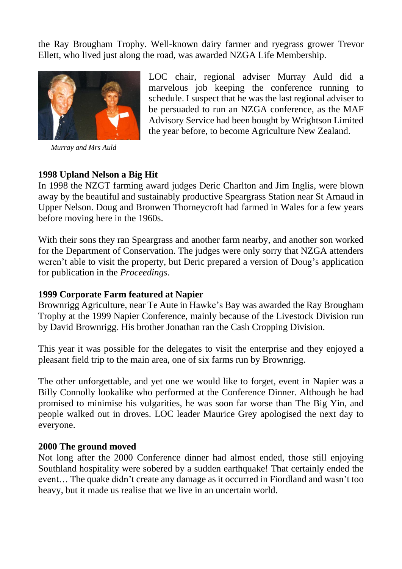the Ray Brougham Trophy. Well-known dairy farmer and ryegrass grower Trevor Ellett, who lived just along the road, was awarded NZGA Life Membership.



*Murray and Mrs Auld*

LOC chair, regional adviser Murray Auld did a marvelous job keeping the conference running to schedule. I suspect that he was the last regional adviser to be persuaded to run an NZGA conference, as the MAF Advisory Service had been bought by Wrightson Limited the year before, to become Agriculture New Zealand.

#### **1998 Upland Nelson a Big Hit**

In 1998 the NZGT farming award judges Deric Charlton and Jim Inglis, were blown away by the beautiful and sustainably productive Speargrass Station near St Arnaud in Upper Nelson. Doug and Bronwen Thorneycroft had farmed in Wales for a few years before moving here in the 1960s.

With their sons they ran Speargrass and another farm nearby, and another son worked for the Department of Conservation. The judges were only sorry that NZGA attenders weren't able to visit the property, but Deric prepared a version of Doug's application for publication in the *Proceedings*.

#### **1999 Corporate Farm featured at Napier**

Brownrigg Agriculture, near Te Aute in Hawke's Bay was awarded the Ray Brougham Trophy at the 1999 Napier Conference, mainly because of the Livestock Division run by David Brownrigg. His brother Jonathan ran the Cash Cropping Division.

This year it was possible for the delegates to visit the enterprise and they enjoyed a pleasant field trip to the main area, one of six farms run by Brownrigg.

The other unforgettable, and yet one we would like to forget, event in Napier was a Billy Connolly lookalike who performed at the Conference Dinner. Although he had promised to minimise his vulgarities, he was soon far worse than The Big Yin, and people walked out in droves. LOC leader Maurice Grey apologised the next day to everyone.

#### **2000 The ground moved**

Not long after the 2000 Conference dinner had almost ended, those still enjoying Southland hospitality were sobered by a sudden earthquake! That certainly ended the event… The quake didn't create any damage as it occurred in Fiordland and wasn't too heavy, but it made us realise that we live in an uncertain world.